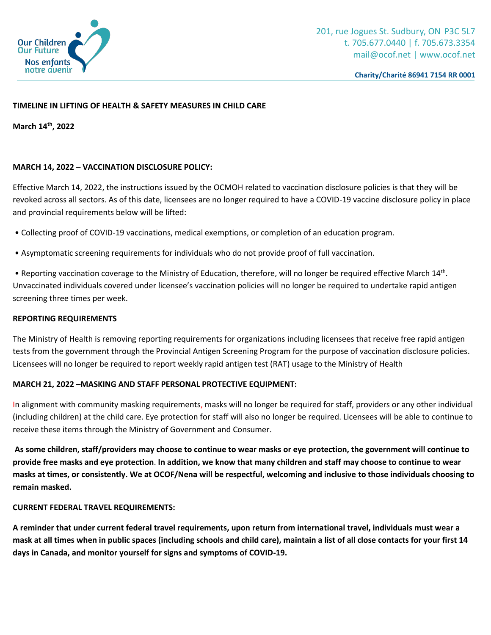

# **TIMELINE IN LIFTING OF HEALTH & SAFETY MEASURES IN CHILD CARE**

**March 14th, 2022**

## **MARCH 14, 2022 – VACCINATION DISCLOSURE POLICY:**

Effective March 14, 2022, the instructions issued by the OCMOH related to vaccination disclosure policies is that they will be revoked across all sectors. As of this date, licensees are no longer required to have a COVID-19 vaccine disclosure policy in place and provincial requirements below will be lifted:

- Collecting proof of COVID-19 vaccinations, medical exemptions, or completion of an education program.
- Asymptomatic screening requirements for individuals who do not provide proof of full vaccination.

• Reporting vaccination coverage to the Ministry of Education, therefore, will no longer be required effective March 14<sup>th</sup>. Unvaccinated individuals covered under licensee's vaccination policies will no longer be required to undertake rapid antigen screening three times per week.

#### **REPORTING REQUIREMENTS**

The Ministry of Health is removing reporting requirements for organizations including licensees that receive free rapid antigen tests from the government through the Provincial Antigen Screening Program for the purpose of vaccination disclosure policies. Licensees will no longer be required to report weekly rapid antigen test (RAT) usage to the Ministry of Health

## **MARCH 21, 2022 –MASKING AND STAFF PERSONAL PROTECTIVE EQUIPMENT:**

In alignment with community masking requirements, masks will no longer be required for staff, providers or any other individual (including children) at the child care. Eye protection for staff will also no longer be required. Licensees will be able to continue to receive these items through the Ministry of Government and Consumer.

**As some children, staff/providers may choose to continue to wear masks or eye protection, the government will continue to provide free masks and eye protection**. **In addition, we know that many children and staff may choose to continue to wear masks at times, or consistently. We at OCOF/Nena will be respectful, welcoming and inclusive to those individuals choosing to remain masked.**

## **CURRENT FEDERAL TRAVEL REQUIREMENTS:**

**A reminder that under current federal travel requirements, upon return from international travel, individuals must wear a mask at all times when in public spaces (including schools and child care), maintain a list of all close contacts for your first 14 days in Canada, and monitor yourself for signs and symptoms of COVID-19.**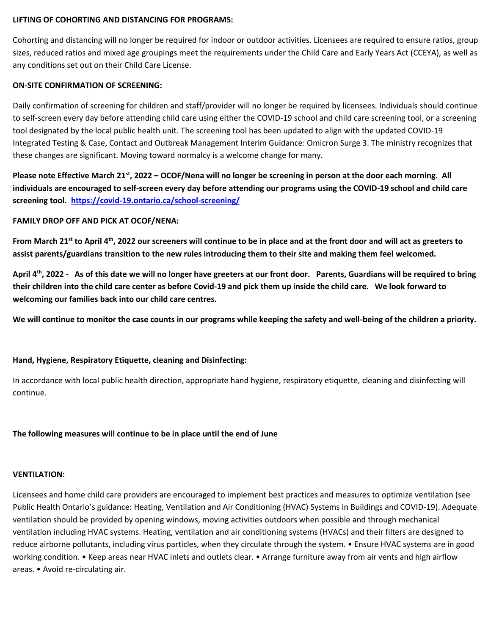#### **LIFTING OF COHORTING AND DISTANCING FOR PROGRAMS:**

Cohorting and distancing will no longer be required for indoor or outdoor activities. Licensees are required to ensure ratios, group sizes, reduced ratios and mixed age groupings meet the requirements under the Child Care and Early Years Act (CCEYA), as well as any conditions set out on their Child Care License.

#### **ON-SITE CONFIRMATION OF SCREENING:**

Daily confirmation of screening for children and staff/provider will no longer be required by licensees. Individuals should continue to self-screen every day before attending child care using either the COVID-19 school and child care screening tool, or a screening tool designated by the local public health unit. The screening tool has been updated to align with the updated COVID-19 Integrated Testing & Case, Contact and Outbreak Management Interim Guidance: Omicron Surge 3. The ministry recognizes that these changes are significant. Moving toward normalcy is a welcome change for many.

**Please note Effective March 21st, 2022 – OCOF/Nena will no longer be screening in person at the door each morning. All individuals are encouraged to self-screen every day before attending our programs using the COVID-19 school and child care screening tool. <https://covid-19.ontario.ca/school-screening/>**

## **FAMILY DROP OFF AND PICK AT OCOF/NENA:**

**From March 21st to April 4th, 2022 our screeners will continue to be in place and at the front door and will act as greeters to assist parents/guardians transition to the new rules introducing them to their site and making them feel welcomed.**

**April 4th, 2022 - As of this date we will no longer have greeters at our front door. Parents, Guardians will be required to bring their children into the child care center as before Covid-19 and pick them up inside the child care. We look forward to welcoming our families back into our child care centres.** 

**We will continue to monitor the case counts in our programs while keeping the safety and well-being of the children a priority.**

# **Hand, Hygiene, Respiratory Etiquette, cleaning and Disinfecting:**

In accordance with local public health direction, appropriate hand hygiene, respiratory etiquette, cleaning and disinfecting will continue.

## **The following measures will continue to be in place until the end of June**

## **VENTILATION:**

Licensees and home child care providers are encouraged to implement best practices and measures to optimize ventilation (see Public Health Ontario's guidance: Heating, Ventilation and Air Conditioning (HVAC) Systems in Buildings and COVID-19). Adequate ventilation should be provided by opening windows, moving activities outdoors when possible and through mechanical ventilation including HVAC systems. Heating, ventilation and air conditioning systems (HVACs) and their filters are designed to reduce airborne pollutants, including virus particles, when they circulate through the system. • Ensure HVAC systems are in good working condition. • Keep areas near HVAC inlets and outlets clear. • Arrange furniture away from air vents and high airflow areas. • Avoid re-circulating air.